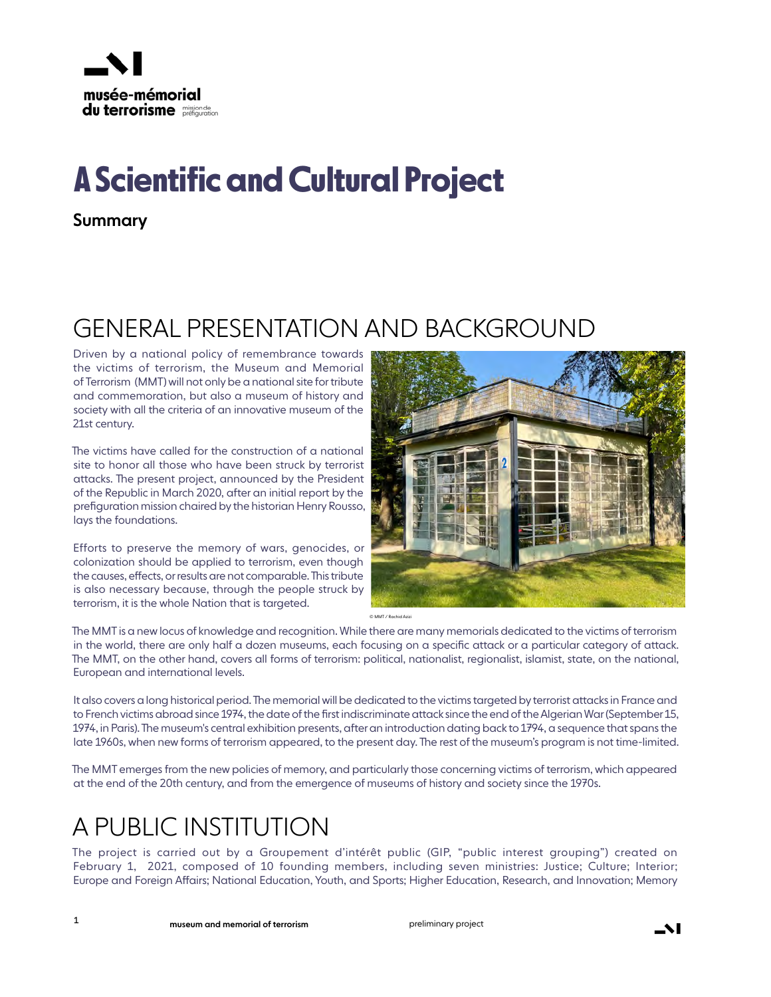

# **A Scientific and Cultural Project**

Summary

#### GENERAL PRESENTATION AND BACKGROUND

Driven by a national policy of remembrance towards the victims of terrorism, the Museum and Memorial of Terrorism (MMT) will not only be a national site for tribute and commemoration, but also a museum of history and society with all the criteria of an innovative museum of the 21st century.

The victims have called for the construction of a national site to honor all those who have been struck by terrorist attacks. The present project, announced by the President of the Republic in March 2020, after an initial report by the prefiguration mission chaired by the historian Henry Rousso, lays the foundations.

Efforts to preserve the memory of wars, genocides, or colonization should be applied to terrorism, even though the causes, effects, or results are not comparable. This tribute is also necessary because, through the people struck by terrorism, it is the whole Nation that is targeted.



© MMT / Rachid Azizi

The MMT is a new locus of knowledge and recognition. While there are many memorials dedicated to the victims of terrorism in the world, there are only half a dozen museums, each focusing on a specific attack or a particular category of attack. The MMT, on the other hand, covers all forms of terrorism: political, nationalist, regionalist, islamist, state, on the national, European and international levels.

It also covers a long historical period. The memorial will be dedicated to the victims targeted by terrorist attacks in France and to French victims abroad since 1974, the date of the first indiscriminate attack since the end of the Algerian War (September 15, 1974, in Paris). The museum's central exhibition presents, after an introduction dating back to 1794, a sequence that spans the late 1960s, when new forms of terrorism appeared, to the present day. The rest of the museum's program is not time-limited.

The MMT emerges from the new policies of memory, and particularly those concerning victims of terrorism, which appeared at the end of the 20th century, and from the emergence of museums of history and society since the 1970s.

#### A PUBLIC INSTITUTION

The project is carried out by a Groupement d'intérêt public (GIP, "public interest grouping") created on February 1, 2021, composed of 10 founding members, including seven ministries: Justice; Culture; Interior; Europe and Foreign Affairs; National Education, Youth, and Sports; Higher Education, Research, and Innovation; Memory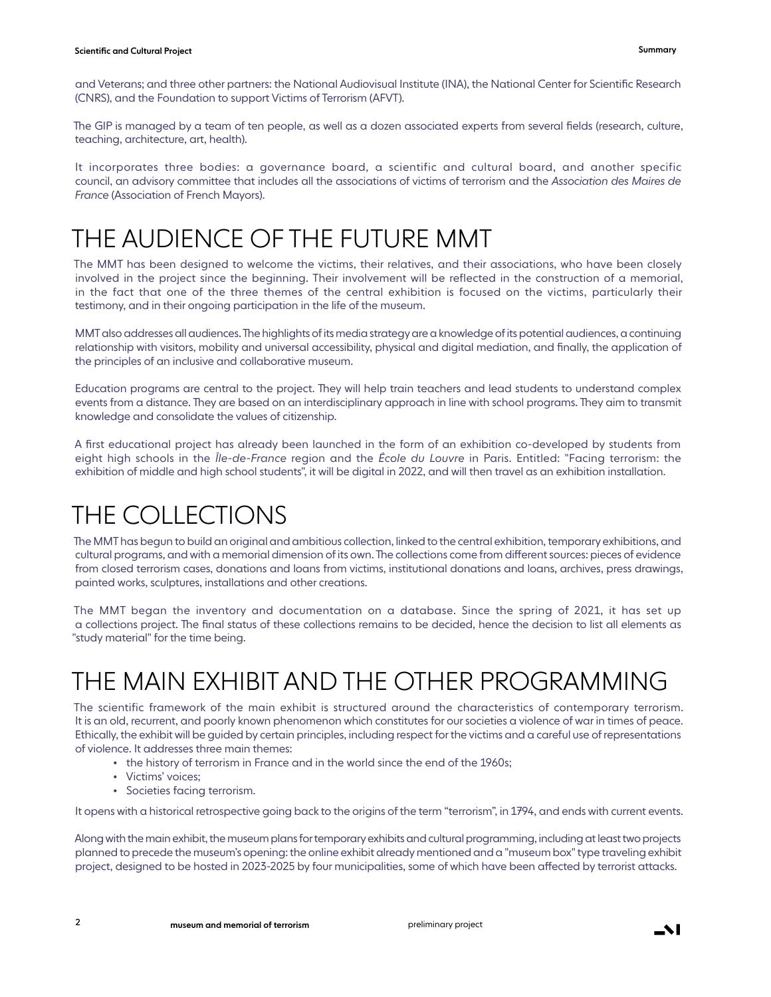and Veterans; and three other partners: the National Audiovisual Institute (INA), the National Center for Scientific Research (CNRS), and the Foundation to support Victims of Terrorism (AFVT).

The GIP is managed by a team of ten people, as well as a dozen associated experts from several fields (research, culture, teaching, architecture, art, health).

It incorporates three bodies: a governance board, a scientific and cultural board, and another specific council, an advisory committee that includes all the associations of victims of terrorism and the *Association des Maires de France* (Association of French Mayors).

#### THE AUDIENCE OF THE FUTURE MMT

The MMT has been designed to welcome the victims, their relatives, and their associations, who have been closely involved in the project since the beginning. Their involvement will be reflected in the construction of a memorial, in the fact that one of the three themes of the central exhibition is focused on the victims, particularly their testimony, and in their ongoing participation in the life of the museum.

MMT also addresses all audiences. The highlights of its media strategy are a knowledge of its potential audiences, a continuing relationship with visitors, mobility and universal accessibility, physical and digital mediation, and finally, the application of the principles of an inclusive and collaborative museum.

Education programs are central to the project. They will help train teachers and lead students to understand complex events from a distance. They are based on an interdisciplinary approach in line with school programs. They aim to transmit knowledge and consolidate the values of citizenship.

A first educational project has already been launched in the form of an exhibition co-developed by students from eight high schools in the *Île-de-France* region and the *École du Louvre* in Paris. Entitled: "Facing terrorism: the exhibition of middle and high school students", it will be digital in 2022, and will then travel as an exhibition installation.

### THE COLLECTIONS

The MMT has begun to build an original and ambitious collection, linked to the central exhibition, temporary exhibitions, and cultural programs, and with a memorial dimension of its own. The collections come from different sources: pieces of evidence from closed terrorism cases, donations and loans from victims, institutional donations and loans, archives, press drawings, painted works, sculptures, installations and other creations.

The MMT began the inventory and documentation on a database. Since the spring of 2021, it has set up a collections project. The final status of these collections remains to be decided, hence the decision to list all elements as "study material" for the time being.

# THE MAIN EXHIBIT AND THE OTHER PROGRAMMING

The scientific framework of the main exhibit is structured around the characteristics of contemporary terrorism. It is an old, recurrent, and poorly known phenomenon which constitutes for our societies a violence of war in times of peace. Ethically, the exhibit will be guided by certain principles, including respect for the victims and a careful use of representations of violence. It addresses three main themes:

- the history of terrorism in France and in the world since the end of the 1960s;
- Victims' voices;
- •  Societies facing terrorism.

It opens with a historical retrospective going back to the origins of the term "terrorism", in 1794, and ends with current events.

Along with the main exhibit, the museum plans for temporary exhibits and cultural programming, including at least two projects planned to precede the museum's opening: the online exhibit already mentioned and a "museum box" type traveling exhibit project, designed to be hosted in 2023-2025 by four municipalities, some of which have been affected by terrorist attacks.